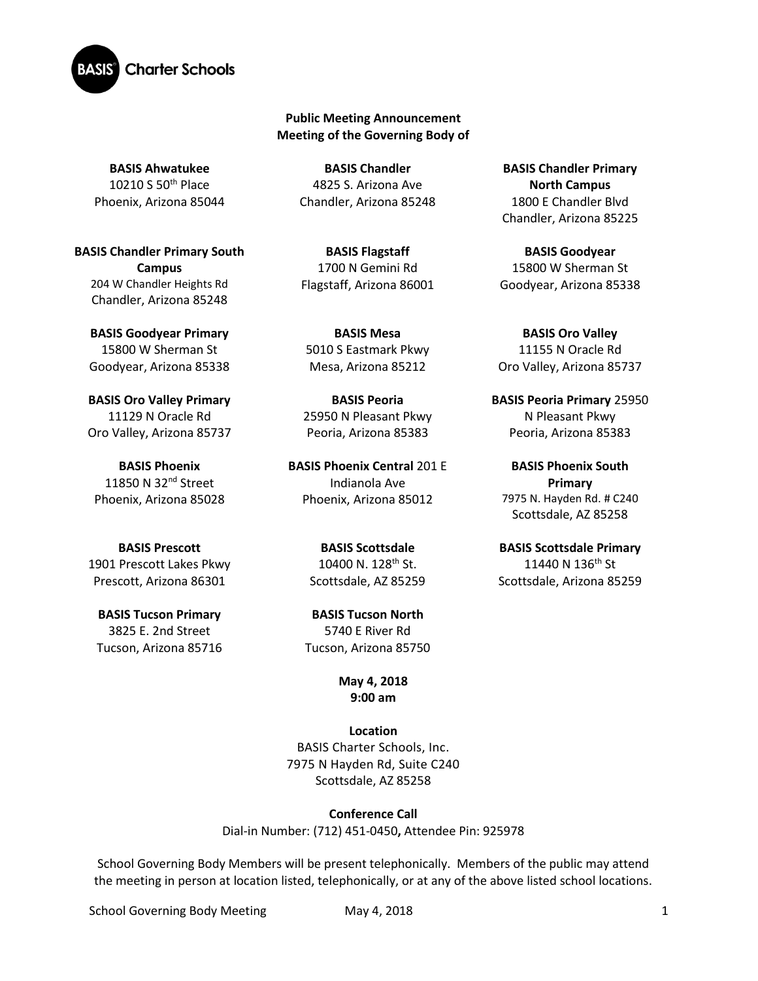

## **Public Meeting Announcement Meeting of the Governing Body of**

**BASIS Ahwatukee** 10210 S 50th Place Phoenix, Arizona 85044

**BASIS Chandler Primary South Campus**  204 W Chandler Heights Rd Chandler, Arizona 85248

**BASIS Goodyear Primary** 15800 W Sherman St Goodyear, Arizona 85338

**BASIS Oro Valley Primary**  11129 N Oracle Rd Oro Valley, Arizona 85737

**BASIS Phoenix** 11850 N 32nd Street Phoenix, Arizona 85028

**BASIS Prescott** 1901 Prescott Lakes Pkwy Prescott, Arizona 86301

**BASIS Tucson Primary** 3825 E. 2nd Street Tucson, Arizona 85716

**BASIS Chandler** 4825 S. Arizona Ave Chandler, Arizona 85248

**BASIS Flagstaff** 1700 N Gemini Rd Flagstaff, Arizona 86001

**BASIS Mesa**  5010 S Eastmark Pkwy Mesa, Arizona 85212

**BASIS Peoria** 25950 N Pleasant Pkwy Peoria, Arizona 85383

**BASIS Phoenix Central** 201 E Indianola Ave Phoenix, Arizona 85012

> **BASIS Scottsdale** 10400 N. 128th St. Scottsdale, AZ 85259

**BASIS Tucson North** 5740 E River Rd Tucson, Arizona 85750

## **May 4, 2018 9:00 am**

**Location** BASIS Charter Schools, Inc. 7975 N Hayden Rd, Suite C240 Scottsdale, AZ 85258

**Conference Call** Dial-in Number: (712) 451-0450**,** Attendee Pin: 925978

School Governing Body Members will be present telephonically. Members of the public may attend the meeting in person at location listed, telephonically, or at any of the above listed school locations.

School Governing Body Meeting May 4, 2018 1

**BASIS Chandler Primary North Campus** 1800 E Chandler Blvd Chandler, Arizona 85225

**BASIS Goodyear** 15800 W Sherman St Goodyear, Arizona 85338

**BASIS Oro Valley** 11155 N Oracle Rd Oro Valley, Arizona 85737

**BASIS Peoria Primary** 25950 N Pleasant Pkwy Peoria, Arizona 85383

**BASIS Phoenix South Primary**  7975 N. Hayden Rd. # C240 Scottsdale, AZ 85258

**BASIS Scottsdale Primary** 11440 N 136<sup>th</sup> St Scottsdale, Arizona 85259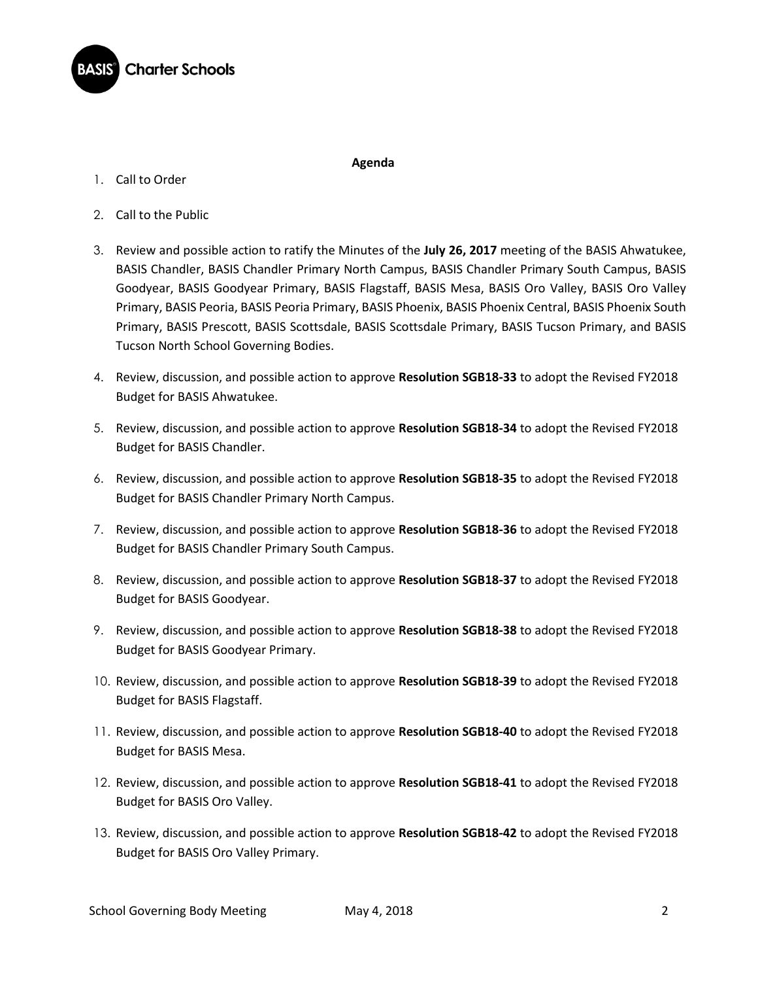

1. Call to Order

## **Agenda**

- 2. Call to the Public
- 3. Review and possible action to ratify the Minutes of the **July 26, 2017** meeting of the BASIS Ahwatukee, BASIS Chandler, BASIS Chandler Primary North Campus, BASIS Chandler Primary South Campus, BASIS Goodyear, BASIS Goodyear Primary, BASIS Flagstaff, BASIS Mesa, BASIS Oro Valley, BASIS Oro Valley Primary, BASIS Peoria, BASIS Peoria Primary, BASIS Phoenix, BASIS Phoenix Central, BASIS Phoenix South Primary, BASIS Prescott, BASIS Scottsdale, BASIS Scottsdale Primary, BASIS Tucson Primary, and BASIS Tucson North School Governing Bodies.
- 4. Review, discussion, and possible action to approve **Resolution SGB18-33** to adopt the Revised FY2018 Budget for BASIS Ahwatukee.
- 5. Review, discussion, and possible action to approve **Resolution SGB18-34** to adopt the Revised FY2018 Budget for BASIS Chandler.
- 6. Review, discussion, and possible action to approve **Resolution SGB18-35** to adopt the Revised FY2018 Budget for BASIS Chandler Primary North Campus.
- 7. Review, discussion, and possible action to approve **Resolution SGB18-36** to adopt the Revised FY2018 Budget for BASIS Chandler Primary South Campus.
- 8. Review, discussion, and possible action to approve **Resolution SGB18-37** to adopt the Revised FY2018 Budget for BASIS Goodyear.
- 9. Review, discussion, and possible action to approve **Resolution SGB18-38** to adopt the Revised FY2018 Budget for BASIS Goodyear Primary.
- 10. Review, discussion, and possible action to approve **Resolution SGB18-39** to adopt the Revised FY2018 Budget for BASIS Flagstaff.
- 11. Review, discussion, and possible action to approve **Resolution SGB18-40** to adopt the Revised FY2018 Budget for BASIS Mesa.
- 12. Review, discussion, and possible action to approve **Resolution SGB18-41** to adopt the Revised FY2018 Budget for BASIS Oro Valley.
- 13. Review, discussion, and possible action to approve **Resolution SGB18-42** to adopt the Revised FY2018 Budget for BASIS Oro Valley Primary.